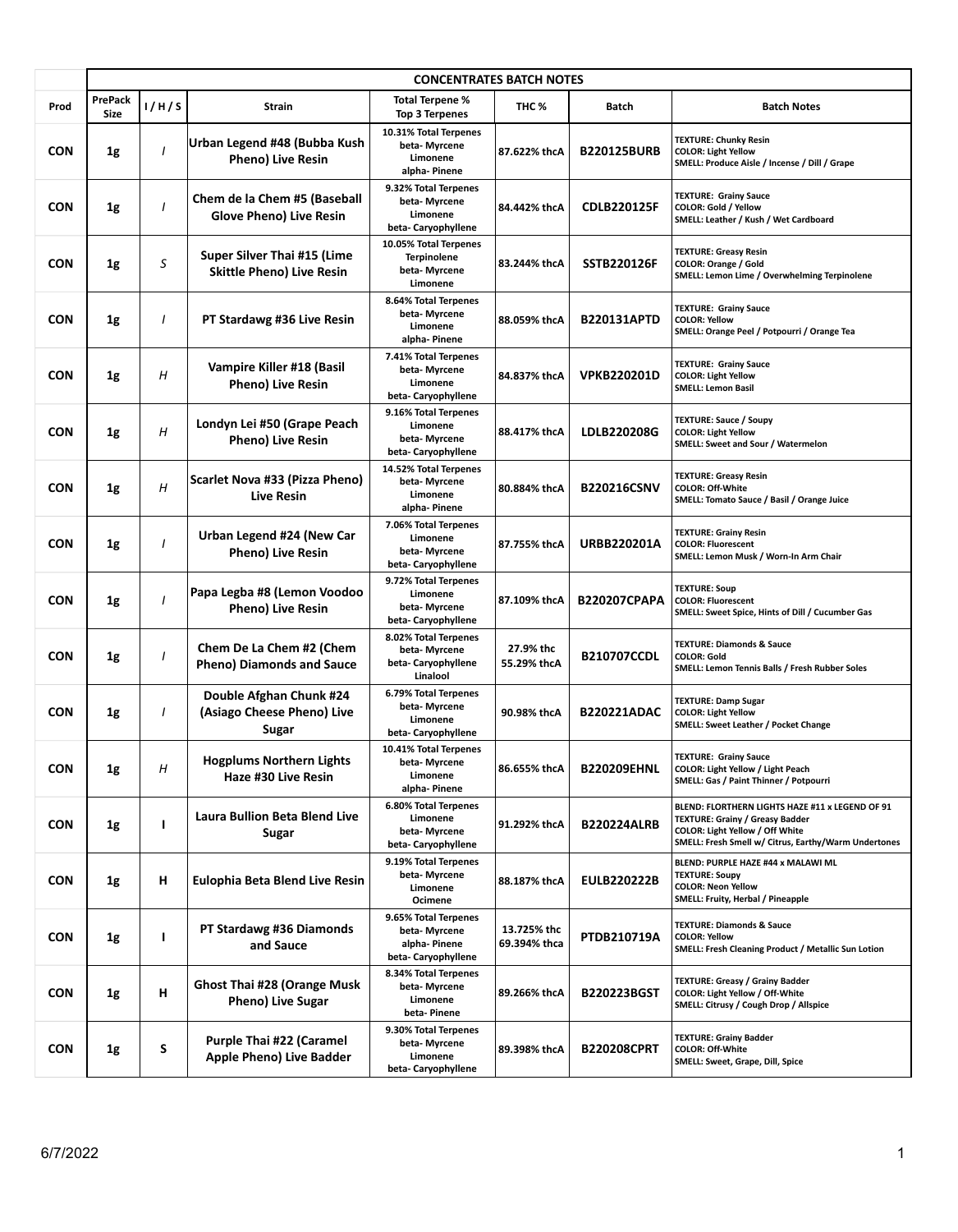|            | <b>CONCENTRATES BATCH NOTES</b> |          |                                                                 |                                                                             |                             |                     |                                                                                                                                                                                      |  |  |
|------------|---------------------------------|----------|-----------------------------------------------------------------|-----------------------------------------------------------------------------|-----------------------------|---------------------|--------------------------------------------------------------------------------------------------------------------------------------------------------------------------------------|--|--|
| Prod       | <b>PrePack</b><br><b>Size</b>   | 1/H/S    | Strain                                                          | <b>Total Terpene %</b><br>Top 3 Terpenes                                    | THC %                       | <b>Batch</b>        | <b>Batch Notes</b>                                                                                                                                                                   |  |  |
| <b>CON</b> | 1g                              | $\prime$ | Urban Legend #48 (Bubba Kush<br><b>Pheno) Live Resin</b>        | 10.31% Total Terpenes<br>beta-Myrcene<br>Limonene<br>alpha-Pinene           | 87.622% thcA                | <b>B220125BURB</b>  | <b>TEXTURE: Chunky Resin</b><br><b>COLOR: Light Yellow</b><br>SMELL: Produce Aisle / Incense / Dill / Grape                                                                          |  |  |
| <b>CON</b> | 1g                              |          | Chem de la Chem #5 (Baseball<br><b>Glove Pheno) Live Resin</b>  | 9.32% Total Terpenes<br>beta-Myrcene<br>Limonene<br>beta-Caryophyllene      | 84.442% thcA                | <b>CDLB220125F</b>  | <b>TEXTURE: Grainy Sauce</b><br>COLOR: Gold / Yellow<br>SMELL: Leather / Kush / Wet Cardboard                                                                                        |  |  |
| <b>CON</b> | 1g                              | S        | Super Silver Thai #15 (Lime<br><b>Skittle Pheno) Live Resin</b> | 10.05% Total Terpenes<br><b>Terpinolene</b><br>beta-Myrcene<br>Limonene     | 83.244% thcA                | <b>SSTB220126F</b>  | <b>TEXTURE: Greasy Resin</b><br><b>COLOR: Orange / Gold</b><br>SMELL: Lemon Lime / Overwhelming Terpinolene                                                                          |  |  |
| <b>CON</b> | 1g                              | 1        | PT Stardawg #36 Live Resin                                      | 8.64% Total Terpenes<br>beta-Myrcene<br>Limonene<br>alpha- Pinene           | 88.059% thcA                | <b>B220131APTD</b>  | <b>TEXTURE: Grainy Sauce</b><br><b>COLOR: Yellow</b><br>SMELL: Orange Peel / Potpourri / Orange Tea                                                                                  |  |  |
| <b>CON</b> | 1g                              | Н        | Vampire Killer #18 (Basil<br><b>Pheno) Live Resin</b>           | 7.41% Total Terpenes<br>beta-Myrcene<br>Limonene<br>beta-Caryophyllene      | 84.837% thcA                | <b>VPKB220201D</b>  | <b>TEXTURE: Grainy Sauce</b><br><b>COLOR: Light Yellow</b><br><b>SMELL: Lemon Basil</b>                                                                                              |  |  |
| <b>CON</b> | 1g                              | Η        | Londyn Lei #50 (Grape Peach<br>Pheno) Live Resin                | 9.16% Total Terpenes<br>Limonene<br>beta-Myrcene<br>beta-Caryophyllene      | 88.417% thcA                | LDLB220208G         | <b>TEXTURE: Sauce / Soupy</b><br><b>COLOR: Light Yellow</b><br>SMELL: Sweet and Sour / Watermelon                                                                                    |  |  |
| <b>CON</b> | 1g                              | Н        | Scarlet Nova #33 (Pizza Pheno)<br><b>Live Resin</b>             | 14.52% Total Terpenes<br>beta-Myrcene<br>Limonene<br>alpha-Pinene           | 80.884% thcA                | B220216CSNV         | <b>TEXTURE: Greasy Resin</b><br><b>COLOR: Off-White</b><br>SMELL: Tomato Sauce / Basil / Orange Juice                                                                                |  |  |
| <b>CON</b> | 1g                              |          | Urban Legend #24 (New Car<br><b>Pheno) Live Resin</b>           | 7.06% Total Terpenes<br>Limonene<br>beta-Myrcene<br>beta-Caryophyllene      | 87.755% thcA                | <b>URBB220201A</b>  | <b>TEXTURE: Grainy Resin</b><br><b>COLOR: Fluorescent</b><br>SMELL: Lemon Musk / Worn-In Arm Chair                                                                                   |  |  |
| <b>CON</b> | 1g                              |          | Papa Legba #8 (Lemon Voodoo<br>Pheno) Live Resin                | 9.72% Total Terpenes<br>Limonene<br>beta-Myrcene<br>beta-Caryophyllene      | 87.109% thcA                | <b>B220207CPAPA</b> | <b>TEXTURE: Soup</b><br><b>COLOR: Fluorescent</b><br>SMELL: Sweet Spice, Hints of Dill / Cucumber Gas                                                                                |  |  |
| <b>CON</b> | 1g                              |          | Chem De La Chem #2 (Chem<br><b>Pheno) Diamonds and Sauce</b>    | 8.02% Total Terpenes<br>beta-Myrcene<br>beta-Caryophyllene<br>Linalool      | 27.9% thc<br>55.29% thcA    | <b>B210707CCDL</b>  | <b>TEXTURE: Diamonds &amp; Sauce</b><br><b>COLOR: Gold</b><br>SMELL: Lemon Tennis Balls / Fresh Rubber Soles                                                                         |  |  |
| <b>CON</b> | 1g                              | I        | Double Afghan Chunk #24<br>(Asiago Cheese Pheno) Live<br>Sugar  | 6.79% Total Terpenes<br>beta-Myrcene<br>Limonene<br>beta-Caryophyllene      | 90.98% thcA                 | <b>B220221ADAC</b>  | <b>TEXTURE: Damp Sugar</b><br><b>COLOR: Light Yellow</b><br>SMELL: Sweet Leather / Pocket Change                                                                                     |  |  |
| <b>CON</b> | 1g                              | Н        | <b>Hogplums Northern Lights</b><br>Haze #30 Live Resin          | 10.41% Total Terpenes<br>beta-Myrcene<br>Limonene<br>alpha- Pinene          | 86.655% thcA                | <b>B220209EHNL</b>  | <b>TEXTURE: Grainy Sauce</b><br>COLOR: Light Yellow / Light Peach<br>SMELL: Gas / Paint Thinner / Potpourri                                                                          |  |  |
| <b>CON</b> | 1g                              | ı        | Laura Bullion Beta Blend Live<br>Sugar                          | 6.80% Total Terpenes<br>Limonene<br>beta-Myrcene<br>beta-Caryophyllene      | 91.292% thcA                | <b>B220224ALRB</b>  | BLEND: FLORTHERN LIGHTS HAZE #11 x LEGEND OF 91<br><b>TEXTURE: Grainy / Greasy Badder</b><br>COLOR: Light Yellow / Off White<br>SMELL: Fresh Smell w/ Citrus, Earthy/Warm Undertones |  |  |
| <b>CON</b> | 1g                              | н        | Eulophia Beta Blend Live Resin                                  | 9.19% Total Terpenes<br>beta-Myrcene<br>Limonene<br>Ocimene                 | 88.187% thcA                | <b>EULB220222B</b>  | BLEND: PURPLE HAZE #44 x MALAWI ML<br><b>TEXTURE: Soupy</b><br><b>COLOR: Neon Yellow</b><br>SMELL: Fruity, Herbal / Pineapple                                                        |  |  |
| <b>CON</b> | 1g                              | ı        | PT Stardawg #36 Diamonds<br>and Sauce                           | 9.65% Total Terpenes<br>beta- Myrcene<br>alpha-Pinene<br>beta-Caryophyllene | 13.725% thc<br>69.394% thca | PTDB210719A         | <b>TEXTURE: Diamonds &amp; Sauce</b><br><b>COLOR: Yellow</b><br>SMELL: Fresh Cleaning Product / Metallic Sun Lotion                                                                  |  |  |
| <b>CON</b> | 1g                              | н        | <b>Ghost Thai #28 (Orange Musk</b><br><b>Pheno) Live Sugar</b>  | 8.34% Total Terpenes<br>beta- Myrcene<br>Limonene<br>beta-Pinene            | 89.266% thcA                | <b>B220223BGST</b>  | <b>TEXTURE: Greasy / Grainy Badder</b><br>COLOR: Light Yellow / Off-White<br>SMELL: Citrusy / Cough Drop / Allspice                                                                  |  |  |
| <b>CON</b> | 1g                              | S        | Purple Thai #22 (Caramel<br>Apple Pheno) Live Badder            | 9.30% Total Terpenes<br>beta- Myrcene<br>Limonene<br>beta-Caryophyllene     | 89.398% thcA                | <b>B220208CPRT</b>  | <b>TEXTURE: Grainy Badder</b><br><b>COLOR: Off-White</b><br>SMELL: Sweet, Grape, Dill, Spice                                                                                         |  |  |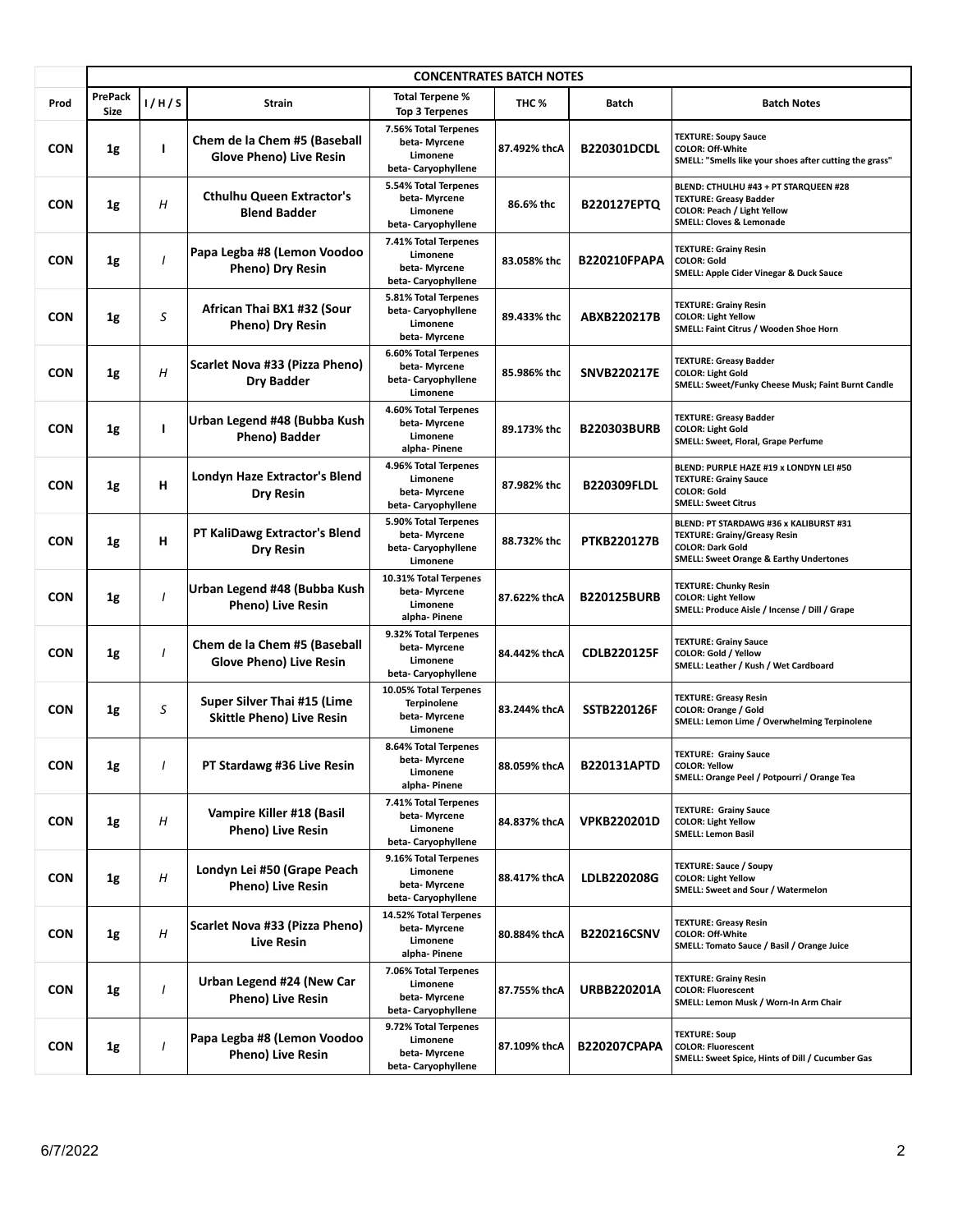|            | <b>CONCENTRATES BATCH NOTES</b> |       |                                                                 |                                                                          |              |                     |                                                                                                                                                                |  |
|------------|---------------------------------|-------|-----------------------------------------------------------------|--------------------------------------------------------------------------|--------------|---------------------|----------------------------------------------------------------------------------------------------------------------------------------------------------------|--|
| Prod       | <b>PrePack</b><br><b>Size</b>   | 1/H/S | Strain                                                          | <b>Total Terpene %</b><br>Top 3 Terpenes                                 | THC %        | <b>Batch</b>        | <b>Batch Notes</b>                                                                                                                                             |  |
| <b>CON</b> | 1g                              | L     | Chem de la Chem #5 (Baseball<br><b>Glove Pheno) Live Resin</b>  | 7.56% Total Terpenes<br>beta-Myrcene<br>Limonene<br>beta-Caryophyllene   | 87.492% thcA | <b>B220301DCDL</b>  | <b>TEXTURE: Soupy Sauce</b><br><b>COLOR: Off-White</b><br>SMELL: "Smells like your shoes after cutting the grass"                                              |  |
| <b>CON</b> | 1g                              | Η     | <b>Cthulhu Queen Extractor's</b><br><b>Blend Badder</b>         | 5.54% Total Terpenes<br>beta-Myrcene<br>Limonene<br>beta-Caryophyllene   | 86.6% thc    | <b>B220127EPTQ</b>  | BLEND: CTHULHU #43 + PT STARQUEEN #28<br><b>TEXTURE: Greasy Badder</b><br><b>COLOR: Peach / Light Yellow</b><br><b>SMELL: Cloves &amp; Lemonade</b>            |  |
| <b>CON</b> | 1g                              | I     | Papa Legba #8 (Lemon Voodoo<br>Pheno) Dry Resin                 | 7.41% Total Terpenes<br>Limonene<br>beta-Myrcene<br>beta-Caryophyllene   | 83.058% thc  | <b>B220210FPAPA</b> | <b>TEXTURE: Grainy Resin</b><br><b>COLOR: Gold</b><br>SMELL: Apple Cider Vinegar & Duck Sauce                                                                  |  |
| <b>CON</b> | 1g                              | S     | African Thai BX1 #32 (Sour<br>Pheno) Dry Resin                  | 5.81% Total Terpenes<br>beta-Caryophyllene<br>Limonene<br>beta-Myrcene   | 89.433% thc  | ABXB220217B         | <b>TEXTURE: Grainy Resin</b><br><b>COLOR: Light Yellow</b><br>SMELL: Faint Citrus / Wooden Shoe Horn                                                           |  |
| <b>CON</b> | 1g                              | H     | Scarlet Nova #33 (Pizza Pheno)<br><b>Dry Badder</b>             | 6.60% Total Terpenes<br>beta-Myrcene<br>beta-Caryophyllene<br>Limonene   | 85.986% thc  | <b>SNVB220217E</b>  | <b>TEXTURE: Greasy Badder</b><br><b>COLOR: Light Gold</b><br>SMELL: Sweet/Funky Cheese Musk; Faint Burnt Candle                                                |  |
| <b>CON</b> | 1g                              | ı     | Urban Legend #48 (Bubba Kush<br>Pheno) Badder                   | 4.60% Total Terpenes<br>beta-Myrcene<br>Limonene<br>alpha- Pinene        | 89.173% thc  | <b>B220303BURB</b>  | <b>TEXTURE: Greasy Badder</b><br><b>COLOR: Light Gold</b><br>SMELL: Sweet, Floral, Grape Perfume                                                               |  |
| <b>CON</b> | 1g                              | н     | Londyn Haze Extractor's Blend<br><b>Dry Resin</b>               | 4.96% Total Terpenes<br>Limonene<br>beta-Myrcene<br>beta-Caryophyllene   | 87.982% thc  | <b>B220309FLDL</b>  | BLEND: PURPLE HAZE #19 x LONDYN LEI #50<br><b>TEXTURE: Grainy Sauce</b><br><b>COLOR: Gold</b><br><b>SMELL: Sweet Citrus</b>                                    |  |
| <b>CON</b> | 1g                              | н     | PT KaliDawg Extractor's Blend<br><b>Dry Resin</b>               | 5.90% Total Terpenes<br>beta-Myrcene<br>beta-Caryophyllene<br>Limonene   | 88.732% thc  | <b>PTKB220127B</b>  | BLEND: PT STARDAWG #36 x KALIBURST #31<br><b>TEXTURE: Grainy/Greasy Resin</b><br><b>COLOR: Dark Gold</b><br><b>SMELL: Sweet Orange &amp; Earthy Undertones</b> |  |
| <b>CON</b> | 1g                              |       | Urban Legend #48 (Bubba Kush<br><b>Pheno) Live Resin</b>        | 10.31% Total Terpenes<br>beta-Myrcene<br>Limonene<br>alpha- Pinene       | 87.622% thcA | <b>B220125BURB</b>  | <b>TEXTURE: Chunky Resin</b><br><b>COLOR: Light Yellow</b><br>SMELL: Produce Aisle / Incense / Dill / Grape                                                    |  |
| <b>CON</b> | 1g                              |       | Chem de la Chem #5 (Baseball<br><b>Glove Pheno) Live Resin</b>  | 9.32% Total Terpenes<br>beta- Myrcene<br>Limonene<br>beta-Caryophyllene  | 84.442% thcA | <b>CDLB220125F</b>  | <b>TEXTURE: Grainy Sauce</b><br>COLOR: Gold / Yellow<br>SMELL: Leather / Kush / Wet Cardboard                                                                  |  |
| <b>CON</b> | 1g                              | S     | Super Silver Thai #15 (Lime<br><b>Skittle Pheno) Live Resin</b> | 10.05% Total Terpenes<br><b>Terpinolene</b><br>beta-Myrcene<br>Limonene  | 83.244% thcA | <b>SSTB220126F</b>  | <b>TEXTURE: Greasy Resin</b><br>COLOR: Orange / Gold<br>SMELL: Lemon Lime / Overwhelming Terpinolene                                                           |  |
| <b>CON</b> | 1g                              |       | PT Stardawg #36 Live Resin                                      | 8.64% Total Terpenes<br>beta-Myrcene<br>Limonene<br>alpha- Pinene        | 88.059% thcA | B220131APTD         | <b>TEXTURE: Grainy Sauce</b><br><b>COLOR: Yellow</b><br>SMELL: Orange Peel / Potpourri / Orange Tea                                                            |  |
| <b>CON</b> | 1g                              | Н     | Vampire Killer #18 (Basil<br><b>Pheno) Live Resin</b>           | 7.41% Total Terpenes<br>beta-Myrcene<br>Limonene<br>beta- Caryophyllene  | 84.837% thcA | <b>VPKB220201D</b>  | <b>TEXTURE: Grainy Sauce</b><br><b>COLOR: Light Yellow</b><br><b>SMELL: Lemon Basil</b>                                                                        |  |
| <b>CON</b> | 1g                              | H     | Londyn Lei #50 (Grape Peach<br><b>Pheno) Live Resin</b>         | 9.16% Total Terpenes<br>Limonene<br>beta-Myrcene<br>beta-Caryophyllene   | 88.417% thcA | LDLB220208G         | <b>TEXTURE: Sauce / Soupy</b><br><b>COLOR: Light Yellow</b><br>SMELL: Sweet and Sour / Watermelon                                                              |  |
| <b>CON</b> | 1g                              | H     | Scarlet Nova #33 (Pizza Pheno)<br><b>Live Resin</b>             | 14.52% Total Terpenes<br>beta- Myrcene<br>Limonene<br>alpha- Pinene      | 80.884% thcA | <b>B220216CSNV</b>  | <b>TEXTURE: Greasy Resin</b><br><b>COLOR: Off-White</b><br>SMELL: Tomato Sauce / Basil / Orange Juice                                                          |  |
| <b>CON</b> | $1\mathrm{g}$                   |       | Urban Legend #24 (New Car<br><b>Pheno) Live Resin</b>           | 7.06% Total Terpenes<br>Limonene<br>beta-Myrcene<br>beta-Caryophyllene   | 87.755% thcA | <b>URBB220201A</b>  | <b>TEXTURE: Grainy Resin</b><br><b>COLOR: Fluorescent</b><br>SMELL: Lemon Musk / Worn-In Arm Chair                                                             |  |
| <b>CON</b> | $1\mathrm{g}$                   |       | Papa Legba #8 (Lemon Voodoo<br><b>Pheno) Live Resin</b>         | 9.72% Total Terpenes<br>Limonene<br>beta- Myrcene<br>beta- Caryophyllene | 87.109% thcA | <b>B220207CPAPA</b> | <b>TEXTURE: Soup</b><br><b>COLOR: Fluorescent</b><br>SMELL: Sweet Spice, Hints of Dill / Cucumber Gas                                                          |  |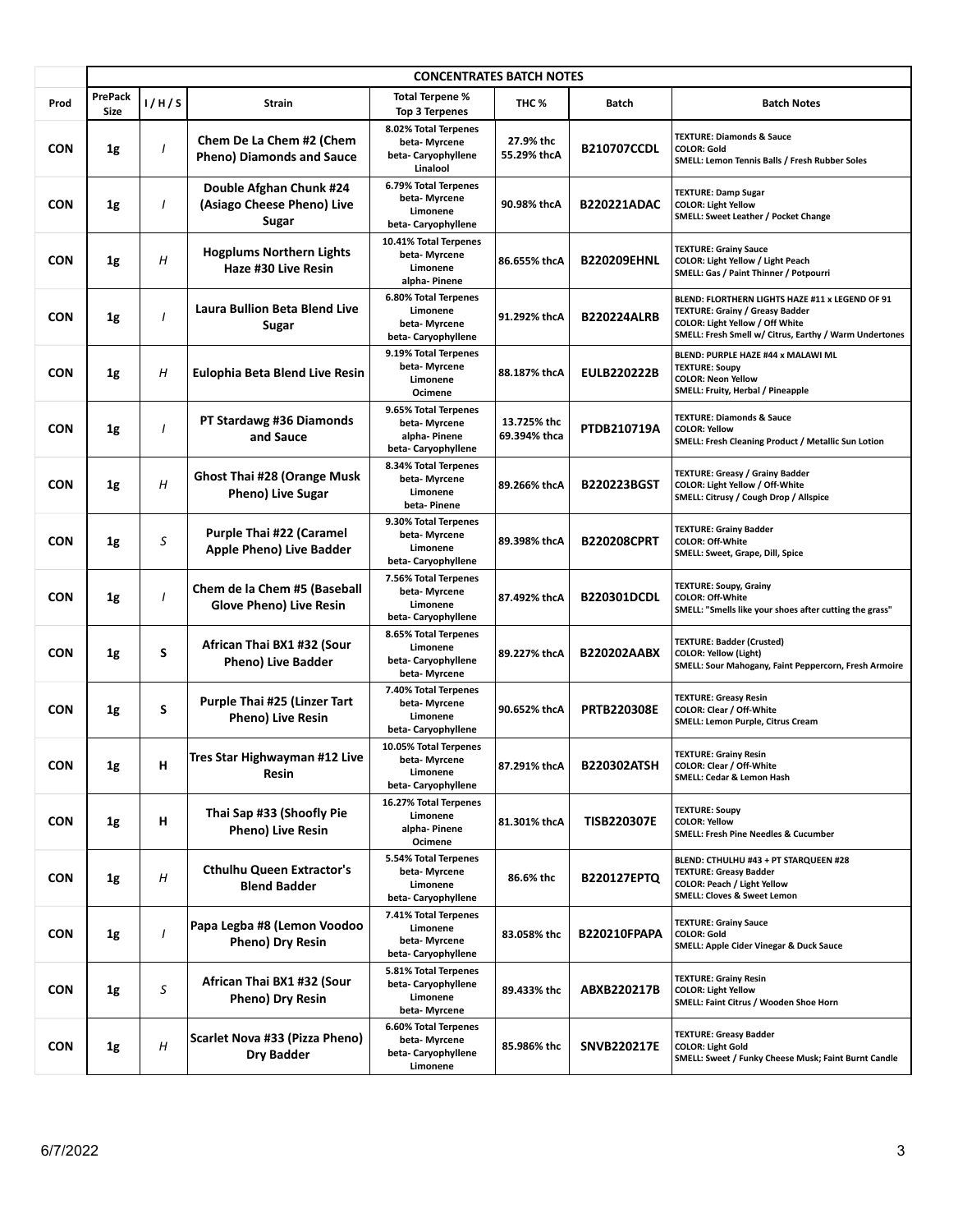|            | <b>CONCENTRATES BATCH NOTES</b> |              |                                                                |                                                                            |                             |                     |                                                                                                                                                                                        |  |  |
|------------|---------------------------------|--------------|----------------------------------------------------------------|----------------------------------------------------------------------------|-----------------------------|---------------------|----------------------------------------------------------------------------------------------------------------------------------------------------------------------------------------|--|--|
| Prod       | <b>PrePack</b><br><b>Size</b>   | 1/H/S        | Strain                                                         | Total Terpene %<br><b>Top 3 Terpenes</b>                                   | THC <sub>%</sub>            | <b>Batch</b>        | <b>Batch Notes</b>                                                                                                                                                                     |  |  |
| <b>CON</b> | 1g                              | $\mathbf{I}$ | Chem De La Chem #2 (Chem<br><b>Pheno) Diamonds and Sauce</b>   | 8.02% Total Terpenes<br>beta-Myrcene<br>beta- Caryophyllene<br>Linalool    | 27.9% thc<br>55.29% thcA    | <b>B210707CCDL</b>  | <b>TEXTURE: Diamonds &amp; Sauce</b><br><b>COLOR: Gold</b><br>SMELL: Lemon Tennis Balls / Fresh Rubber Soles                                                                           |  |  |
| <b>CON</b> | 1g                              |              | Double Afghan Chunk #24<br>(Asiago Cheese Pheno) Live<br>Sugar | 6.79% Total Terpenes<br>beta-Myrcene<br>Limonene<br>beta-Caryophyllene     | 90.98% thcA                 | <b>B220221ADAC</b>  | <b>TEXTURE: Damp Sugar</b><br><b>COLOR: Light Yellow</b><br><b>SMELL: Sweet Leather / Pocket Change</b>                                                                                |  |  |
| <b>CON</b> | 1g                              | Η            | <b>Hogplums Northern Lights</b><br>Haze #30 Live Resin         | 10.41% Total Terpenes<br>beta- Myrcene<br>Limonene<br>alpha-Pinene         | 86.655% thcA                | <b>B220209EHNL</b>  | <b>TEXTURE: Grainy Sauce</b><br>COLOR: Light Yellow / Light Peach<br>SMELL: Gas / Paint Thinner / Potpourri                                                                            |  |  |
| <b>CON</b> | 1g                              |              | <b>Laura Bullion Beta Blend Live</b><br>Sugar                  | 6.80% Total Terpenes<br>Limonene<br>beta-Myrcene<br>beta-Caryophyllene     | 91.292% thcA                | <b>B220224ALRB</b>  | BLEND: FLORTHERN LIGHTS HAZE #11 x LEGEND OF 91<br><b>TEXTURE: Grainy / Greasy Badder</b><br>COLOR: Light Yellow / Off White<br>SMELL: Fresh Smell w/ Citrus, Earthy / Warm Undertones |  |  |
| <b>CON</b> | 1g                              | Η            | Eulophia Beta Blend Live Resin                                 | 9.19% Total Terpenes<br>beta- Myrcene<br>Limonene<br>Ocimene               | 88.187% thcA                | <b>EULB220222B</b>  | BLEND: PURPLE HAZE #44 x MALAWI ML<br><b>TEXTURE: Soupy</b><br><b>COLOR: Neon Yellow</b><br>SMELL: Fruity, Herbal / Pineapple                                                          |  |  |
| <b>CON</b> | 1g                              | 1            | PT Stardawg #36 Diamonds<br>and Sauce                          | 9.65% Total Terpenes<br>beta-Myrcene<br>alpha-Pinene<br>beta-Caryophyllene | 13.725% thc<br>69.394% thca | PTDB210719A         | <b>TEXTURE: Diamonds &amp; Sauce</b><br><b>COLOR: Yellow</b><br>SMELL: Fresh Cleaning Product / Metallic Sun Lotion                                                                    |  |  |
| <b>CON</b> | 1g                              | H            | <b>Ghost Thai #28 (Orange Musk</b><br>Pheno) Live Sugar        | 8.34% Total Terpenes<br>beta-Myrcene<br>Limonene<br>beta-Pinene            | 89.266% thcA                | <b>B220223BGST</b>  | <b>TEXTURE: Greasy / Grainy Badder</b><br>COLOR: Light Yellow / Off-White<br>SMELL: Citrusy / Cough Drop / Allspice                                                                    |  |  |
| <b>CON</b> | 1g                              | S            | Purple Thai #22 (Caramel<br>Apple Pheno) Live Badder           | 9.30% Total Terpenes<br>beta- Myrcene<br>Limonene<br>beta-Caryophyllene    | 89.398% thcA                | <b>B220208CPRT</b>  | <b>TEXTURE: Grainy Badder</b><br><b>COLOR: Off-White</b><br>SMELL: Sweet, Grape, Dill, Spice                                                                                           |  |  |
| <b>CON</b> | 1g                              |              | Chem de la Chem #5 (Baseball<br><b>Glove Pheno) Live Resin</b> | 7.56% Total Terpenes<br>beta- Myrcene<br>Limonene<br>beta-Caryophyllene    | 87.492% thcA                | <b>B220301DCDL</b>  | <b>TEXTURE: Soupy, Grainy</b><br><b>COLOR: Off-White</b><br>SMELL: "Smells like your shoes after cutting the grass"                                                                    |  |  |
| <b>CON</b> | 1g                              | S            | African Thai BX1 #32 (Sour<br><b>Pheno) Live Badder</b>        | 8.65% Total Terpenes<br>Limonene<br>beta-Caryophyllene<br>beta- Myrcene    | 89.227% thcA                | <b>B220202AABX</b>  | <b>TEXTURE: Badder (Crusted)</b><br><b>COLOR: Yellow (Light)</b><br>SMELL: Sour Mahogany, Faint Peppercorn, Fresh Armoire                                                              |  |  |
| <b>CON</b> | 1g                              | S            | Purple Thai #25 (Linzer Tart<br>Pheno) Live Resin              | 7.40% Total Terpenes<br>beta-Myrcene<br>Limonene<br>beta-Caryophyllene     | 90.652% thcA                | <b>PRTB220308E</b>  | <b>TEXTURE: Greasy Resin</b><br>COLOR: Clear / Off-White<br>SMELL: Lemon Purple, Citrus Cream                                                                                          |  |  |
| <b>CON</b> | 1g                              | н            | Tres Star Highwayman #12 Live<br>Resin                         | 10.05% Total Terpenes<br>beta-Myrcene<br>Limonene<br>beta-Caryophyllene    | 87.291% thcA                | <b>B220302ATSH</b>  | <b>TEXTURE: Grainy Resin</b><br>COLOR: Clear / Off-White<br>SMELL: Cedar & Lemon Hash                                                                                                  |  |  |
| <b>CON</b> | 1g                              | н            | Thai Sap #33 (Shoofly Pie<br><b>Pheno) Live Resin</b>          | 16.27% Total Terpenes<br>Limonene<br>alpha- Pinene<br>Ocimene              | 81.301% thcA                | <b>TISB220307E</b>  | <b>TEXTURE: Soupy</b><br><b>COLOR: Yellow</b><br><b>SMELL: Fresh Pine Needles &amp; Cucumber</b>                                                                                       |  |  |
| <b>CON</b> | 1g                              | Η            | <b>Cthulhu Queen Extractor's</b><br><b>Blend Badder</b>        | 5.54% Total Terpenes<br>beta- Myrcene<br>Limonene<br>beta-Caryophyllene    | 86.6% thc                   | <b>B220127EPTQ</b>  | BLEND: CTHULHU #43 + PT STARQUEEN #28<br><b>TEXTURE: Greasy Badder</b><br>COLOR: Peach / Light Yellow<br><b>SMELL: Cloves &amp; Sweet Lemon</b>                                        |  |  |
| <b>CON</b> | 1g                              |              | Papa Legba #8 (Lemon Voodoo<br>Pheno) Dry Resin                | 7.41% Total Terpenes<br>Limonene<br>beta- Myrcene<br>beta-Caryophyllene    | 83.058% thc                 | <b>B220210FPAPA</b> | <b>TEXTURE: Grainy Sauce</b><br><b>COLOR: Gold</b><br>SMELL: Apple Cider Vinegar & Duck Sauce                                                                                          |  |  |
| <b>CON</b> | 1g                              | S            | African Thai BX1 #32 (Sour<br>Pheno) Dry Resin                 | 5.81% Total Terpenes<br>beta-Caryophyllene<br>Limonene<br>beta- Myrcene    | 89.433% thc                 | ABXB220217B         | <b>TEXTURE: Grainy Resin</b><br><b>COLOR: Light Yellow</b><br>SMELL: Faint Citrus / Wooden Shoe Horn                                                                                   |  |  |
| <b>CON</b> | $1\mathrm{g}$                   | Η            | Scarlet Nova #33 (Pizza Pheno)<br><b>Dry Badder</b>            | 6.60% Total Terpenes<br>beta- Myrcene<br>beta-Caryophyllene<br>Limonene    | 85.986% thc                 | <b>SNVB220217E</b>  | <b>TEXTURE: Greasy Badder</b><br><b>COLOR: Light Gold</b><br>SMELL: Sweet / Funky Cheese Musk; Faint Burnt Candle                                                                      |  |  |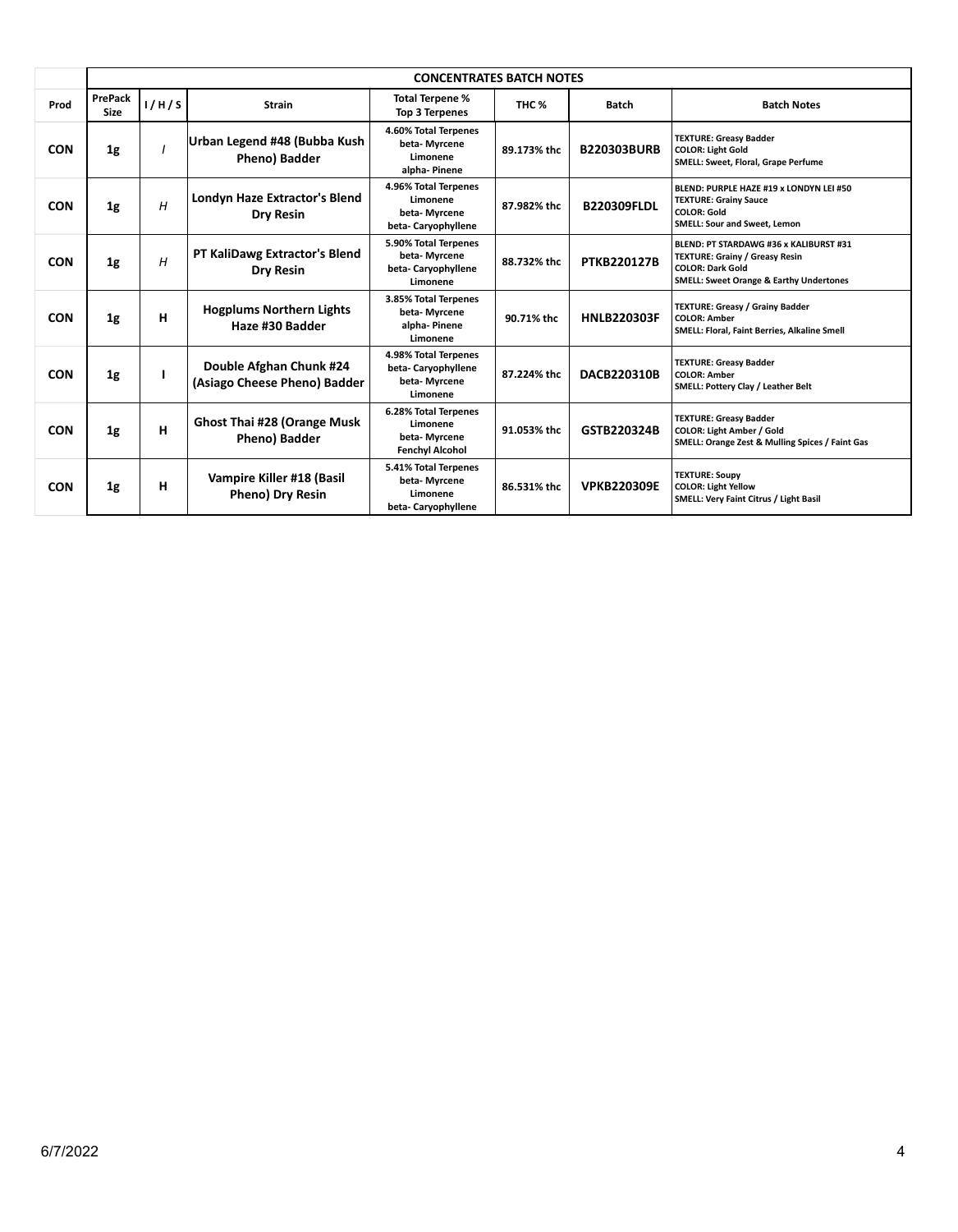|            |                        | <b>CONCENTRATES BATCH NOTES</b> |                                                         |                                                                            |             |                    |                                                                                                                                                                  |  |  |  |
|------------|------------------------|---------------------------------|---------------------------------------------------------|----------------------------------------------------------------------------|-------------|--------------------|------------------------------------------------------------------------------------------------------------------------------------------------------------------|--|--|--|
| Prod       | PrePack<br><b>Size</b> | 1/H/S                           | <b>Strain</b>                                           | <b>Total Terpene %</b><br>Top 3 Terpenes                                   | THC %       | <b>Batch</b>       | <b>Batch Notes</b>                                                                                                                                               |  |  |  |
| <b>CON</b> | 1 <sub>g</sub>         |                                 | Urban Legend #48 (Bubba Kush<br><b>Pheno) Badder</b>    | 4.60% Total Terpenes<br>beta-Myrcene<br>Limonene<br>alpha-Pinene           | 89.173% thc | <b>B220303BURB</b> | <b>TEXTURE: Greasy Badder</b><br><b>COLOR: Light Gold</b><br>SMELL: Sweet, Floral, Grape Perfume                                                                 |  |  |  |
| <b>CON</b> | 1 <sub>g</sub>         | H                               | Londyn Haze Extractor's Blend<br><b>Dry Resin</b>       | 4.96% Total Terpenes<br>Limonene<br>beta-Mvrcene<br>beta-Caryophyllene     | 87.982% thc | <b>B220309FLDL</b> | BLEND: PURPLE HAZE #19 x LONDYN LEI #50<br><b>TEXTURE: Grainy Sauce</b><br><b>COLOR: Gold</b><br>SMELL: Sour and Sweet, Lemon                                    |  |  |  |
| <b>CON</b> | 1 <sub>g</sub>         | H                               | PT KaliDawg Extractor's Blend<br><b>Dry Resin</b>       | 5.90% Total Terpenes<br>beta-Myrcene<br>beta-Caryophyllene<br>Limonene     | 88.732% thc | <b>PTKB220127B</b> | BLEND: PT STARDAWG #36 x KALIBURST #31<br><b>TEXTURE: Grainy / Greasy Resin</b><br><b>COLOR: Dark Gold</b><br><b>SMELL: Sweet Orange &amp; Earthy Undertones</b> |  |  |  |
| <b>CON</b> | 1 <sub>g</sub>         | н                               | <b>Hogplums Northern Lights</b><br>Haze #30 Badder      | 3.85% Total Terpenes<br>beta-Myrcene<br>alpha-Pinene<br>Limonene           | 90.71% thc  | <b>HNLB220303F</b> | <b>TEXTURE: Greasy / Grainy Badder</b><br><b>COLOR: Amber</b><br>SMELL: Floral, Faint Berries, Alkaline Smell                                                    |  |  |  |
| <b>CON</b> | 1 <sub>g</sub>         |                                 | Double Afghan Chunk #24<br>(Asiago Cheese Pheno) Badder | 4.98% Total Terpenes<br>beta-Caryophyllene<br>beta-Myrcene<br>Limonene     | 87.224% thc | <b>DACB220310B</b> | <b>TEXTURE: Greasy Badder</b><br><b>COLOR: Amber</b><br><b>SMELL: Pottery Clay / Leather Belt</b>                                                                |  |  |  |
| <b>CON</b> | 1 <sub>g</sub>         | н                               | Ghost Thai #28 (Orange Musk<br>Pheno) Badder            | 6.28% Total Terpenes<br>Limonene<br>beta-Myrcene<br><b>Fenchyl Alcohol</b> | 91.053% thc | GSTB220324B        | <b>TEXTURE: Greasy Badder</b><br><b>COLOR: Light Amber / Gold</b><br>SMELL: Orange Zest & Mulling Spices / Faint Gas                                             |  |  |  |
| <b>CON</b> | 1g                     | н                               | Vampire Killer #18 (Basil<br>Pheno) Dry Resin           | 5.41% Total Terpenes<br>beta-Myrcene<br>Limonene<br>beta-Caryophyllene     | 86.531% thc | <b>VPKB220309E</b> | <b>TEXTURE: Soupy</b><br><b>COLOR: Light Yellow</b><br>SMELL: Very Faint Citrus / Light Basil                                                                    |  |  |  |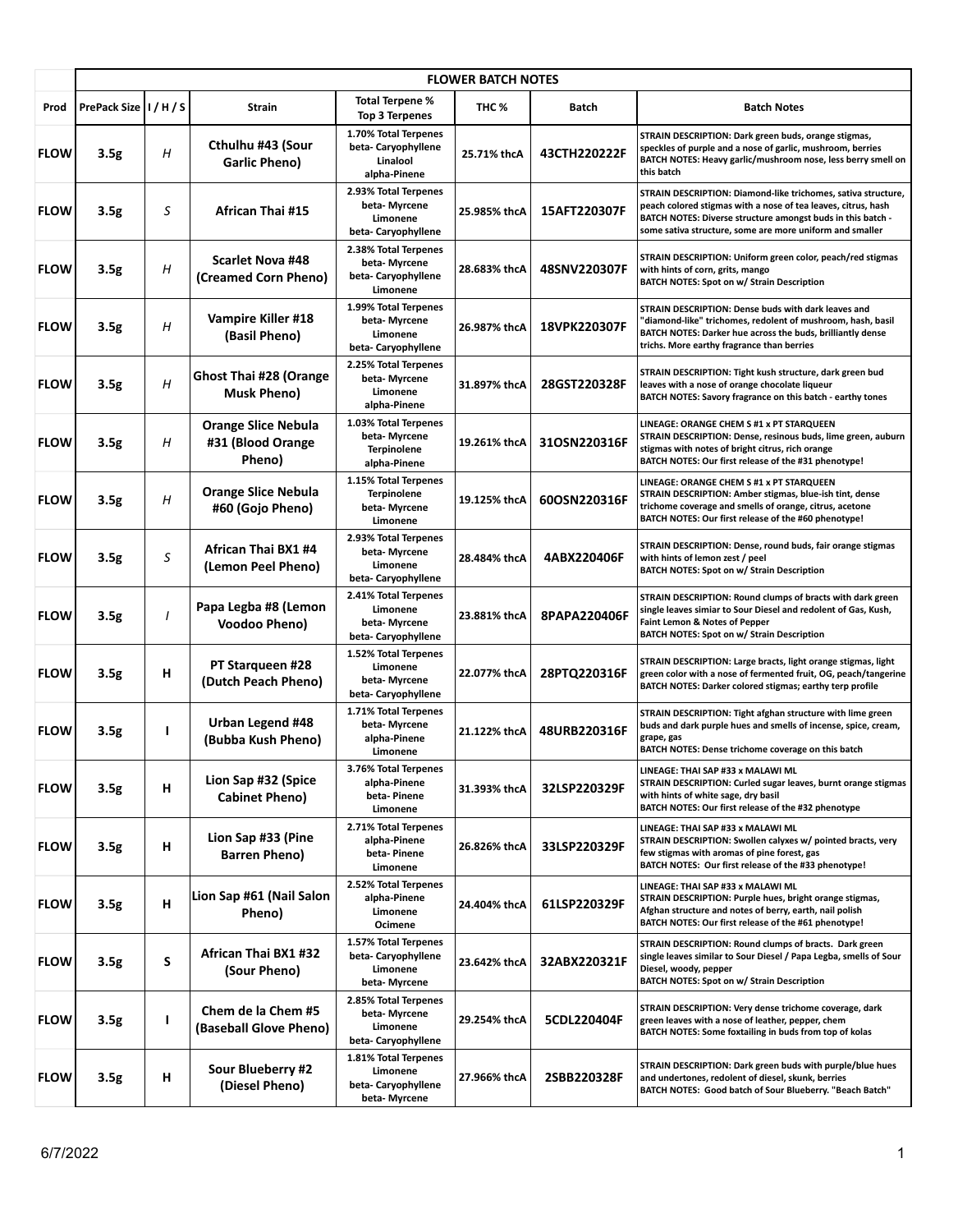|             | <b>FLOWER BATCH NOTES</b> |   |                                                           |                                                                             |                  |              |                                                                                                                                                                                                                                                           |  |  |
|-------------|---------------------------|---|-----------------------------------------------------------|-----------------------------------------------------------------------------|------------------|--------------|-----------------------------------------------------------------------------------------------------------------------------------------------------------------------------------------------------------------------------------------------------------|--|--|
| Prod        | PrePack Size   I / H / S  |   | <b>Strain</b>                                             | <b>Total Terpene %</b><br><b>Top 3 Terpenes</b>                             | THC <sub>%</sub> | <b>Batch</b> | <b>Batch Notes</b>                                                                                                                                                                                                                                        |  |  |
| <b>FLOW</b> | 3.5g                      | Η | Cthulhu #43 (Sour<br><b>Garlic Pheno)</b>                 | 1.70% Total Terpenes<br>beta-Caryophyllene<br>Linalool<br>alpha-Pinene      | 25.71% thcA      | 43CTH220222F | STRAIN DESCRIPTION: Dark green buds, orange stigmas,<br>speckles of purple and a nose of garlic, mushroom, berries<br>BATCH NOTES: Heavy garlic/mushroom nose, less berry smell on<br>this batch                                                          |  |  |
| <b>FLOW</b> | 3.5g                      | S | African Thai #15                                          | 2.93% Total Terpenes<br>beta- Myrcene<br>Limonene<br>beta- Caryophyllene    | 25.985% thcA     | 15AFT220307F | STRAIN DESCRIPTION: Diamond-like trichomes, sativa structure,<br>peach colored stigmas with a nose of tea leaves, citrus, hash<br>BATCH NOTES: Diverse structure amongst buds in this batch -<br>some sativa structure, some are more uniform and smaller |  |  |
| <b>FLOW</b> | 3.5g                      | Η | <b>Scarlet Nova #48</b><br>(Creamed Corn Pheno)           | 2.38% Total Terpenes<br>beta- Myrcene<br>beta-Caryophyllene<br>Limonene     | 28.683% thcA     | 48SNV220307F | STRAIN DESCRIPTION: Uniform green color, peach/red stigmas<br>with hints of corn, grits, mango<br><b>BATCH NOTES: Spot on w/ Strain Description</b>                                                                                                       |  |  |
| <b>FLOW</b> | 3.5g                      | Η | Vampire Killer #18<br>(Basil Pheno)                       | 1.99% Total Terpenes<br>beta- Myrcene<br>Limonene<br>beta-Caryophyllene     | 26.987% thcA     | 18VPK220307F | STRAIN DESCRIPTION: Dense buds with dark leaves and<br>'diamond-like" trichomes, redolent of mushroom, hash, basil<br>BATCH NOTES: Darker hue across the buds, brilliantly dense<br>trichs. More earthy fragrance than berries                            |  |  |
| <b>FLOW</b> | 3.5g                      | Η | <b>Ghost Thai #28 (Orange</b><br><b>Musk Pheno)</b>       | 2.25% Total Terpenes<br>beta-Myrcene<br>Limonene<br>alpha-Pinene            | 31.897% thcA     | 28GST220328F | STRAIN DESCRIPTION: Tight kush structure, dark green bud<br>leaves with a nose of orange chocolate liqueur<br>BATCH NOTES: Savory fragrance on this batch - earthy tones                                                                                  |  |  |
| <b>FLOW</b> | 3.5g                      | Н | <b>Orange Slice Nebula</b><br>#31 (Blood Orange<br>Pheno) | 1.03% Total Terpenes<br>beta- Myrcene<br><b>Terpinolene</b><br>alpha-Pinene | 19.261% thcA     | 31OSN220316F | LINEAGE: ORANGE CHEM S #1 x PT STARQUEEN<br>STRAIN DESCRIPTION: Dense, resinous buds, lime green, auburn<br>stigmas with notes of bright citrus, rich orange<br>BATCH NOTES: Our first release of the #31 phenotype!                                      |  |  |
| <b>FLOW</b> | 3.5g                      | Η | <b>Orange Slice Nebula</b><br>#60 (Gojo Pheno)            | 1.15% Total Terpenes<br><b>Terpinolene</b><br>beta- Myrcene<br>Limonene     | 19.125% thcA     | 60OSN220316F | LINEAGE: ORANGE CHEM S #1 x PT STARQUEEN<br>STRAIN DESCRIPTION: Amber stigmas, blue-ish tint, dense<br>trichome coverage and smells of orange, citrus, acetone<br>BATCH NOTES: Our first release of the #60 phenotype!                                    |  |  |
| <b>FLOW</b> | 3.5g                      | S | African Thai BX1 #4<br>(Lemon Peel Pheno)                 | 2.93% Total Terpenes<br>beta- Myrcene<br>Limonene<br>beta- Caryophyllene    | 28.484% thcA     | 4ABX220406F  | STRAIN DESCRIPTION: Dense, round buds, fair orange stigmas<br>with hints of lemon zest / peel<br><b>BATCH NOTES: Spot on w/ Strain Description</b>                                                                                                        |  |  |
| <b>FLOW</b> | 3.5g                      | I | Papa Legba #8 (Lemon<br><b>Voodoo Pheno)</b>              | 2.41% Total Terpenes<br>Limonene<br>beta-Myrcene<br>beta-Caryophyllene      | 23.881% thcA     | 8PAPA220406F | STRAIN DESCRIPTION: Round clumps of bracts with dark green<br>single leaves simiar to Sour Diesel and redolent of Gas, Kush,<br>Faint Lemon & Notes of Pepper<br>BATCH NOTES: Spot on w/ Strain Description                                               |  |  |
| <b>FLOW</b> | 3.5g                      | н | PT Starqueen #28<br>(Dutch Peach Pheno)                   | 1.52% Total Terpenes<br>Limonene<br>beta- Myrcene<br>beta-Caryophyllene     | 22.077% thcA     | 28PTQ220316F | STRAIN DESCRIPTION: Large bracts, light orange stigmas, light<br>green color with a nose of fermented fruit, OG, peach/tangerine<br>BATCH NOTES: Darker colored stigmas; earthy terp profile                                                              |  |  |
| <b>FLOW</b> | 3.5 <sub>g</sub>          | ı | Urban Legend #48<br>(Bubba Kush Pheno)                    | 1.71% Total Terpenes<br>beta- Myrcene<br>alpha-Pinene<br>Limonene           | 21.122% thcA     | 48URB220316F | STRAIN DESCRIPTION: Tight afghan structure with lime green<br>buds and dark purple hues and smells of incense, spice, cream,<br>grape, gas<br>BATCH NOTES: Dense trichome coverage on this batch                                                          |  |  |
| <b>FLOW</b> | 3.5g                      | н | Lion Sap #32 (Spice<br><b>Cabinet Pheno)</b>              | 3.76% Total Terpenes<br>alpha-Pinene<br>beta- Pinene<br>Limonene            | 31.393% thcA     | 32LSP220329F | LINEAGE: THAI SAP #33 x MALAWI ML<br>STRAIN DESCRIPTION: Curled sugar leaves, burnt orange stigmas<br>with hints of white sage, dry basil<br>BATCH NOTES: Our first release of the #32 phenotype                                                          |  |  |
| <b>FLOW</b> | 3.5g                      | н | Lion Sap #33 (Pine<br><b>Barren Pheno)</b>                | 2.71% Total Terpenes<br>alpha-Pinene<br>beta- Pinene<br>Limonene            | 26.826% thcA     | 33LSP220329F | LINEAGE: THAI SAP #33 x MALAWI ML<br>STRAIN DESCRIPTION: Swollen calyxes w/ pointed bracts, very<br>few stigmas with aromas of pine forest, gas<br>BATCH NOTES: Our first release of the #33 phenotype!                                                   |  |  |
| <b>FLOW</b> | 3.5g                      | н | Lion Sap #61 (Nail Salon<br>Pheno)                        | 2.52% Total Terpenes<br>alpha-Pinene<br>Limonene<br>Ocimene                 | 24.404% thcA     | 61LSP220329F | LINEAGE: THAI SAP #33 x MALAWI ML<br>STRAIN DESCRIPTION: Purple hues, bright orange stigmas,<br>Afghan structure and notes of berry, earth, nail polish<br>BATCH NOTES: Our first release of the #61 phenotype!                                           |  |  |
| <b>FLOW</b> | 3.5g                      | S | African Thai BX1 #32<br>(Sour Pheno)                      | 1.57% Total Terpenes<br>beta-Caryophyllene<br>Limonene<br>beta- Myrcene     | 23.642% thcA     | 32ABX220321F | STRAIN DESCRIPTION: Round clumps of bracts. Dark green<br>single leaves similar to Sour Diesel / Papa Legba, smells of Sour<br>Diesel, woody, pepper<br>BATCH NOTES: Spot on w/ Strain Description                                                        |  |  |
| <b>FLOW</b> | 3.5g                      | ı | Chem de la Chem #5<br>(Baseball Glove Pheno)              | 2.85% Total Terpenes<br>beta- Myrcene<br>Limonene<br>beta-Caryophyllene     | 29.254% thcA     | 5CDL220404F  | STRAIN DESCRIPTION: Very dense trichome coverage, dark<br>green leaves with a nose of leather, pepper, chem<br>BATCH NOTES: Some foxtailing in buds from top of kolas                                                                                     |  |  |
| <b>FLOW</b> | 3.5g                      | н | Sour Blueberry #2<br>(Diesel Pheno)                       | 1.81% Total Terpenes<br>Limonene<br>beta-Caryophyllene<br>beta- Myrcene     | 27.966% thcA     | 2SBB220328F  | STRAIN DESCRIPTION: Dark green buds with purple/blue hues<br>and undertones, redolent of diesel, skunk, berries<br>BATCH NOTES: Good batch of Sour Blueberry. "Beach Batch"                                                                               |  |  |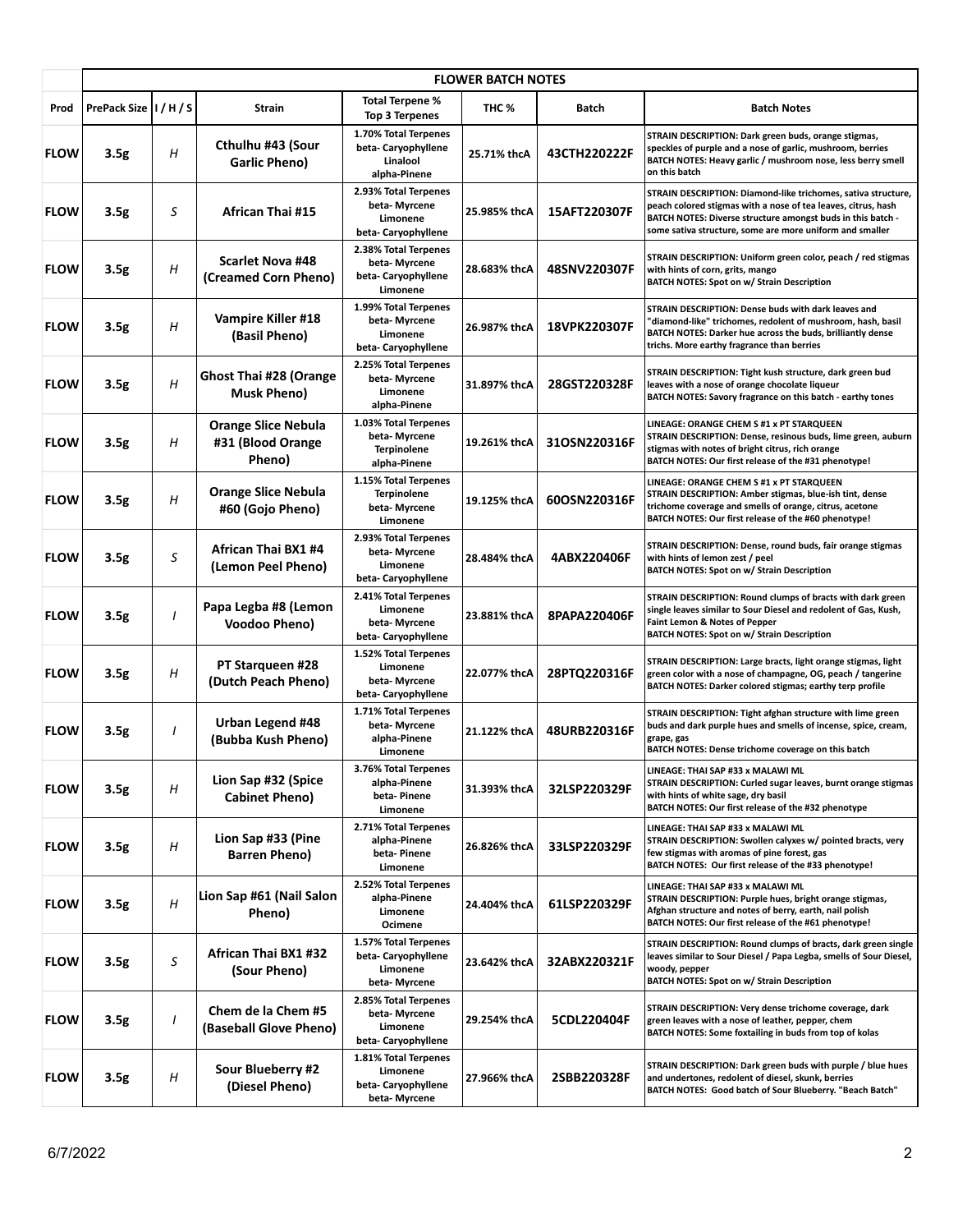|             | <b>FLOWER BATCH NOTES</b> |          |                                                           |                                                                            |              |              |                                                                                                                                                                                                                                                           |  |  |
|-------------|---------------------------|----------|-----------------------------------------------------------|----------------------------------------------------------------------------|--------------|--------------|-----------------------------------------------------------------------------------------------------------------------------------------------------------------------------------------------------------------------------------------------------------|--|--|
| Prod        | PrePack Size   I / H / S  |          | Strain                                                    | <b>Total Terpene %</b><br><b>Top 3 Terpenes</b>                            | THC %        | Batch        | <b>Batch Notes</b>                                                                                                                                                                                                                                        |  |  |
| <b>FLOW</b> | 3.5 <sub>g</sub>          | H        | Cthulhu #43 (Sour<br><b>Garlic Pheno)</b>                 | 1.70% Total Terpenes<br>beta-Caryophyllene<br>Linalool<br>alpha-Pinene     | 25.71% thcA  | 43CTH220222F | STRAIN DESCRIPTION: Dark green buds, orange stigmas,<br>speckles of purple and a nose of garlic, mushroom, berries<br>BATCH NOTES: Heavy garlic / mushroom nose, less berry smell<br>on this batch                                                        |  |  |
| <b>FLOW</b> | 3.5g                      | S        | <b>African Thai #15</b>                                   | 2.93% Total Terpenes<br>beta- Myrcene<br>Limonene<br>beta-Caryophyllene    | 25.985% thcA | 15AFT220307F | STRAIN DESCRIPTION: Diamond-like trichomes, sativa structure,<br>peach colored stigmas with a nose of tea leaves, citrus, hash<br>BATCH NOTES: Diverse structure amongst buds in this batch -<br>some sativa structure, some are more uniform and smaller |  |  |
| <b>FLOW</b> | 3.5g                      | H        | <b>Scarlet Nova #48</b><br>(Creamed Corn Pheno)           | 2.38% Total Terpenes<br>beta-Myrcene<br>beta-Caryophyllene<br>Limonene     | 28.683% thcA | 48SNV220307F | STRAIN DESCRIPTION: Uniform green color, peach / red stigmas<br>with hints of corn, grits, mango<br><b>BATCH NOTES: Spot on w/ Strain Description</b>                                                                                                     |  |  |
| <b>FLOW</b> | 3.5 <sub>g</sub>          | Η        | Vampire Killer #18<br>(Basil Pheno)                       | 1.99% Total Terpenes<br>beta-Myrcene<br>Limonene<br>beta-Caryophyllene     | 26.987% thcA | 18VPK220307F | STRAIN DESCRIPTION: Dense buds with dark leaves and<br>'diamond-like" trichomes, redolent of mushroom, hash, basil<br>BATCH NOTES: Darker hue across the buds, brilliantly dense<br>trichs. More earthy fragrance than berries                            |  |  |
| <b>FLOW</b> | 3.5g                      | H        | <b>Ghost Thai #28 (Orange</b><br><b>Musk Pheno)</b>       | 2.25% Total Terpenes<br>beta-Myrcene<br>Limonene<br>alpha-Pinene           | 31.897% thcA | 28GST220328F | STRAIN DESCRIPTION: Tight kush structure, dark green bud<br>leaves with a nose of orange chocolate liqueur<br>BATCH NOTES: Savory fragrance on this batch - earthy tones                                                                                  |  |  |
| <b>FLOW</b> | 3.5g                      | H        | <b>Orange Slice Nebula</b><br>#31 (Blood Orange<br>Pheno) | 1.03% Total Terpenes<br>beta-Myrcene<br><b>Terpinolene</b><br>alpha-Pinene | 19.261% thcA | 31OSN220316F | LINEAGE: ORANGE CHEM S #1 x PT STARQUEEN<br>STRAIN DESCRIPTION: Dense, resinous buds, lime green, auburn<br>stigmas with notes of bright citrus, rich orange<br>BATCH NOTES: Our first release of the #31 phenotype!                                      |  |  |
| <b>FLOW</b> | 3.5 <sub>g</sub>          | Η        | <b>Orange Slice Nebula</b><br>#60 (Gojo Pheno)            | 1.15% Total Terpenes<br><b>Terpinolene</b><br>beta-Myrcene<br>Limonene     | 19.125% thcA | 60OSN220316F | LINEAGE: ORANGE CHEM S #1 x PT STARQUEEN<br>STRAIN DESCRIPTION: Amber stigmas, blue-ish tint, dense<br>trichome coverage and smells of orange, citrus, acetone<br>BATCH NOTES: Our first release of the #60 phenotype!                                    |  |  |
| <b>FLOW</b> | 3.5 <sub>g</sub>          | S        | African Thai BX1 #4<br>(Lemon Peel Pheno)                 | 2.93% Total Terpenes<br>beta-Myrcene<br>Limonene<br>beta-Caryophyllene     | 28.484% thcA | 4ABX220406F  | STRAIN DESCRIPTION: Dense, round buds, fair orange stigmas<br>with hints of lemon zest / peel<br><b>BATCH NOTES: Spot on w/ Strain Description</b>                                                                                                        |  |  |
| <b>FLOW</b> | 3.5g                      | $\prime$ | Papa Legba #8 (Lemon<br><b>Voodoo Pheno)</b>              | 2.41% Total Terpenes<br>Limonene<br>beta-Myrcene<br>beta-Caryophyllene     | 23.881% thcA | 8PAPA220406F | STRAIN DESCRIPTION: Round clumps of bracts with dark green<br>single leaves similar to Sour Diesel and redolent of Gas, Kush,<br>Faint Lemon & Notes of Pepper<br>BATCH NOTES: Spot on w/ Strain Description                                              |  |  |
| <b>FLOW</b> | 3.5 <sub>g</sub>          | H        | PT Starqueen #28<br>(Dutch Peach Pheno)                   | 1.52% Total Terpenes<br>Limonene<br>beta-Myrcene<br>beta-Caryophyllene     | 22.077% thcA | 28PTQ220316F | STRAIN DESCRIPTION: Large bracts, light orange stigmas, light<br>green color with a nose of champagne, OG, peach / tangerine<br>BATCH NOTES: Darker colored stigmas; earthy terp profile                                                                  |  |  |
| <b>FLOW</b> | 3.5 <sub>g</sub>          | $\prime$ | <b>Urban Legend #48</b><br>(Bubba Kush Pheno)             | 1.71% Total Terpenes<br>beta-Myrcene<br>alpha-Pinene<br>Limonene           | 21.122% thcA | 48URB220316F | STRAIN DESCRIPTION: Tight afghan structure with lime green<br>buds and dark purple hues and smells of incense, spice, cream,<br>grape, gas<br>BATCH NOTES: Dense trichome coverage on this batch                                                          |  |  |
| <b>FLOW</b> | 3.5g                      | Η        | Lion Sap #32 (Spice<br><b>Cabinet Pheno)</b>              | 3.76% Total Terpenes<br>alpha-Pinene<br>beta-Pinene<br>Limonene            | 31.393% thcA | 32LSP220329F | LINEAGE: THAI SAP #33 x MALAWI ML<br>STRAIN DESCRIPTION: Curled sugar leaves, burnt orange stigmas<br>with hints of white sage, dry basil<br>BATCH NOTES: Our first release of the #32 phenotype                                                          |  |  |
| <b>FLOW</b> | 3.5g                      | Η        | Lion Sap #33 (Pine<br><b>Barren Pheno)</b>                | 2.71% Total Terpenes<br>alpha-Pinene<br>beta-Pinene<br>Limonene            | 26.826% thcA | 33LSP220329F | LINEAGE: THAI SAP #33 x MALAWI ML<br>STRAIN DESCRIPTION: Swollen calyxes w/ pointed bracts, very<br>few stigmas with aromas of pine forest, gas<br>BATCH NOTES: Our first release of the #33 phenotype!                                                   |  |  |
| <b>FLOW</b> | 3.5 <sub>g</sub>          | Η        | Lion Sap #61 (Nail Salon<br>Pheno)                        | 2.52% Total Terpenes<br>alpha-Pinene<br>Limonene<br>Ocimene                | 24.404% thcA | 61LSP220329F | LINEAGE: THAI SAP #33 x MALAWI ML<br>STRAIN DESCRIPTION: Purple hues, bright orange stigmas,<br>Afghan structure and notes of berry, earth, nail polish<br>BATCH NOTES: Our first release of the #61 phenotype!                                           |  |  |
| <b>FLOW</b> | 3.5g                      | S        | African Thai BX1 #32<br>(Sour Pheno)                      | 1.57% Total Terpenes<br>beta-Caryophyllene<br>Limonene<br>beta-Myrcene     | 23.642% thcA | 32ABX220321F | STRAIN DESCRIPTION: Round clumps of bracts, dark green single<br>leaves similar to Sour Diesel / Papa Legba, smells of Sour Diesel,<br>woody, pepper<br><b>BATCH NOTES: Spot on w/ Strain Description</b>                                                 |  |  |
| <b>FLOW</b> | 3.5g                      | I        | Chem de la Chem #5<br>(Baseball Glove Pheno)              | 2.85% Total Terpenes<br>beta- Myrcene<br>Limonene<br>beta-Caryophyllene    | 29.254% thcA | 5CDL220404F  | STRAIN DESCRIPTION: Very dense trichome coverage, dark<br>green leaves with a nose of leather, pepper, chem<br>BATCH NOTES: Some foxtailing in buds from top of kolas                                                                                     |  |  |
| <b>FLOW</b> | 3.5g                      | Н        | Sour Blueberry #2<br>(Diesel Pheno)                       | 1.81% Total Terpenes<br>Limonene<br>beta-Caryophyllene<br>beta-Myrcene     | 27.966% thcA | 2SBB220328F  | STRAIN DESCRIPTION: Dark green buds with purple / blue hues<br>and undertones, redolent of diesel, skunk, berries<br>BATCH NOTES: Good batch of Sour Blueberry. "Beach Batch"                                                                             |  |  |